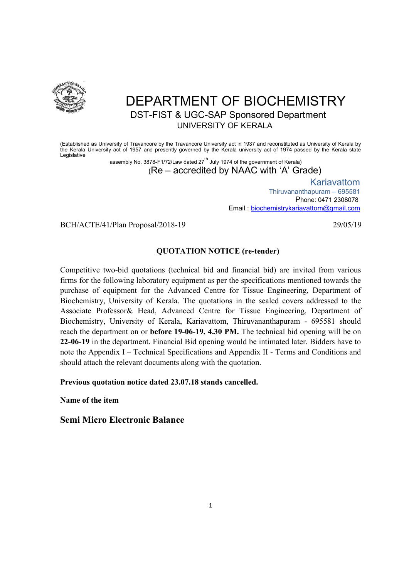

# DEPARTMENT OF BIOCHEMISTRY DST-FIST & UGC-SAP Sponsored Department UNIVERSITY OF KERALA

(Established as University of Travancore by the Travancore University act in 1937 and reconstituted as University of Kerala by the Kerala University act of 1957 and presently governed by the Kerala university act of 1974 passed by the Kerala state Legislative

assembly No. 3878-F1/72/Law dated  $27<sup>th</sup>$  July 1974 of the government of Kerala) (Re – accredited by NAAC with 'A' Grade)

> Kariavattom Thiruvananthapuram – 695581 Phone: 0471 2308078 Email : biochemistrykariavattom@gmail.com

BCH/ACTE/41/Plan Proposal/2018-19 29/05/19 29/05/19

### QUOTATION NOTICE (re-tender)

Competitive two-bid quotations (technical bid and financial bid) are invited from various firms for the following laboratory equipment as per the specifications mentioned towards the purchase of equipment for the Advanced Centre for Tissue Engineering, Department of Biochemistry, University of Kerala. The quotations in the sealed covers addressed to the Associate Professor& Head, Advanced Centre for Tissue Engineering, Department of Biochemistry, University of Kerala, Kariavattom, Thiruvananthapuram - 695581 should reach the department on or before 19-06-19, 4.30 PM. The technical bid opening will be on 22-06-19 in the department. Financial Bid opening would be intimated later. Bidders have to note the Appendix I – Technical Specifications and Appendix II - Terms and Conditions and should attach the relevant documents along with the quotation.

Previous quotation notice dated 23.07.18 stands cancelled.

Name of the item

Semi Micro Electronic Balance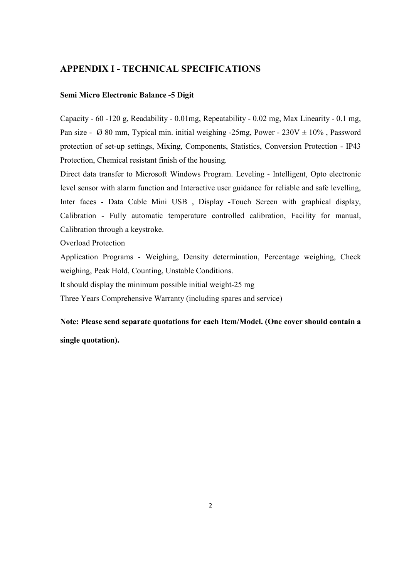## APPENDIX I - TECHNICAL SPECIFICATIONS

#### Semi Micro Electronic Balance -5 Digit

Capacity - 60 -120 g, Readability - 0.01mg, Repeatability - 0.02 mg, Max Linearity - 0.1 mg, Pan size -  $\varnothing$  80 mm, Typical min. initial weighing -25mg, Power - 230V  $\pm$  10%, Password protection of set-up settings, Mixing, Components, Statistics, Conversion Protection - IP43 Protection, Chemical resistant finish of the housing.

Direct data transfer to Microsoft Windows Program. Leveling - Intelligent, Opto electronic level sensor with alarm function and Interactive user guidance for reliable and safe levelling, Inter faces - Data Cable Mini USB , Display -Touch Screen with graphical display, Calibration - Fully automatic temperature controlled calibration, Facility for manual, Calibration through a keystroke.

Overload Protection

Application Programs - Weighing, Density determination, Percentage weighing, Check weighing, Peak Hold, Counting, Unstable Conditions.

It should display the minimum possible initial weight-25 mg

Three Years Comprehensive Warranty (including spares and service)

Note: Please send separate quotations for each Item/Model. (One cover should contain a single quotation).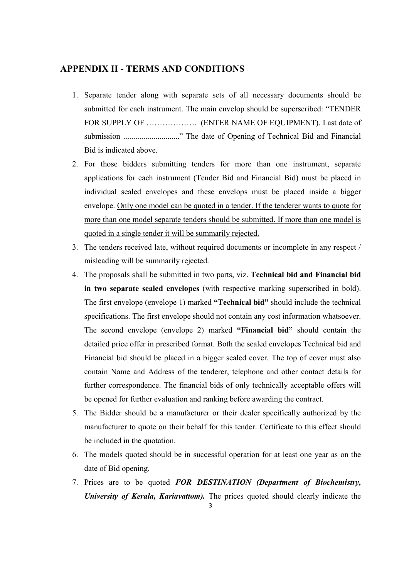## APPENDIX II - TERMS AND CONDITIONS

- 1. Separate tender along with separate sets of all necessary documents should be submitted for each instrument. The main envelop should be superscribed: "TENDER FOR SUPPLY OF ..................... (ENTER NAME OF EQUIPMENT). Last date of submission ............................" The date of Opening of Technical Bid and Financial Bid is indicated above.
- 2. For those bidders submitting tenders for more than one instrument, separate applications for each instrument (Tender Bid and Financial Bid) must be placed in individual sealed envelopes and these envelops must be placed inside a bigger envelope. Only one model can be quoted in a tender. If the tenderer wants to quote for more than one model separate tenders should be submitted. If more than one model is quoted in a single tender it will be summarily rejected.
- 3. The tenders received late, without required documents or incomplete in any respect / misleading will be summarily rejected.
- 4. The proposals shall be submitted in two parts, viz. Technical bid and Financial bid in two separate sealed envelopes (with respective marking superscribed in bold). The first envelope (envelope 1) marked "Technical bid" should include the technical specifications. The first envelope should not contain any cost information whatsoever. The second envelope (envelope 2) marked "Financial bid" should contain the detailed price offer in prescribed format. Both the sealed envelopes Technical bid and Financial bid should be placed in a bigger sealed cover. The top of cover must also contain Name and Address of the tenderer, telephone and other contact details for further correspondence. The financial bids of only technically acceptable offers will be opened for further evaluation and ranking before awarding the contract.
- 5. The Bidder should be a manufacturer or their dealer specifically authorized by the manufacturer to quote on their behalf for this tender. Certificate to this effect should be included in the quotation.
- 6. The models quoted should be in successful operation for at least one year as on the date of Bid opening.
- 3 7. Prices are to be quoted FOR DESTINATION (Department of Biochemistry, University of Kerala, Kariavattom). The prices quoted should clearly indicate the